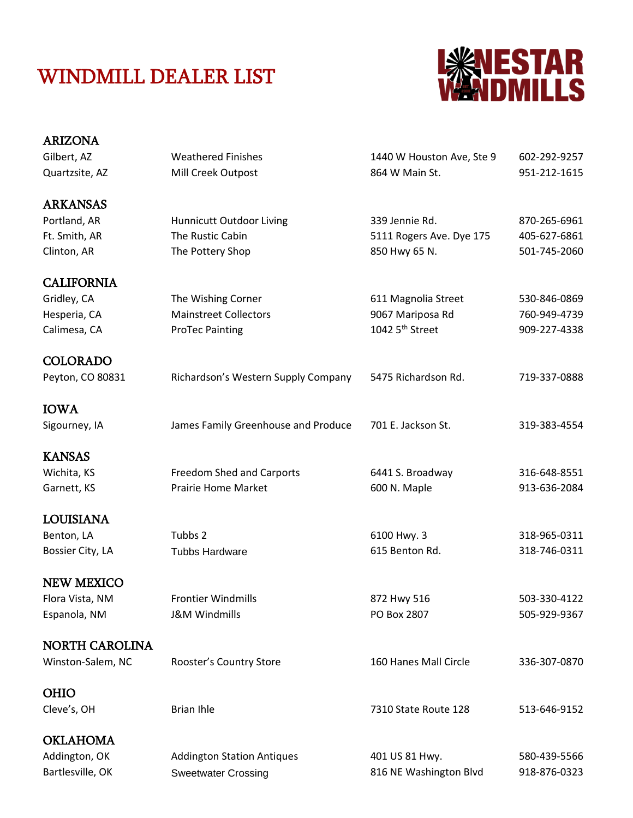## WINDMILL DEALER LIST



| <b>ARIZONA</b>        |                                     |                             |              |
|-----------------------|-------------------------------------|-----------------------------|--------------|
| Gilbert, AZ           | <b>Weathered Finishes</b>           | 1440 W Houston Ave, Ste 9   | 602-292-9257 |
| Quartzsite, AZ        | Mill Creek Outpost                  | 864 W Main St.              | 951-212-1615 |
| <b>ARKANSAS</b>       |                                     |                             |              |
| Portland, AR          | Hunnicutt Outdoor Living            | 339 Jennie Rd.              | 870-265-6961 |
| Ft. Smith, AR         | The Rustic Cabin                    | 5111 Rogers Ave. Dye 175    | 405-627-6861 |
| Clinton, AR           | The Pottery Shop                    | 850 Hwy 65 N.               | 501-745-2060 |
| <b>CALIFORNIA</b>     |                                     |                             |              |
| Gridley, CA           | The Wishing Corner                  | 611 Magnolia Street         | 530-846-0869 |
| Hesperia, CA          | <b>Mainstreet Collectors</b>        | 9067 Mariposa Rd            | 760-949-4739 |
| Calimesa, CA          | <b>ProTec Painting</b>              | 1042 5 <sup>th</sup> Street | 909-227-4338 |
| <b>COLORADO</b>       |                                     |                             |              |
| Peyton, CO 80831      | Richardson's Western Supply Company | 5475 Richardson Rd.         | 719-337-0888 |
| <b>IOWA</b>           |                                     |                             |              |
| Sigourney, IA         | James Family Greenhouse and Produce | 701 E. Jackson St.          | 319-383-4554 |
| <b>KANSAS</b>         |                                     |                             |              |
| Wichita, KS           | Freedom Shed and Carports           | 6441 S. Broadway            | 316-648-8551 |
| Garnett, KS           | <b>Prairie Home Market</b>          | 600 N. Maple                | 913-636-2084 |
| <b>LOUISIANA</b>      |                                     |                             |              |
| Benton, LA            | Tubbs 2                             | 6100 Hwy. 3                 | 318-965-0311 |
| Bossier City, LA      | <b>Tubbs Hardware</b>               | 615 Benton Rd.              | 318-746-0311 |
| <b>NEW MEXICO</b>     |                                     |                             |              |
| Flora Vista, NM       | <b>Frontier Windmills</b>           | 872 Hwy 516                 | 503-330-4122 |
| Espanola, NM          | <b>J&amp;M Windmills</b>            | PO Box 2807                 | 505-929-9367 |
| <b>NORTH CAROLINA</b> |                                     |                             |              |
| Winston-Salem, NC     | Rooster's Country Store             | 160 Hanes Mall Circle       | 336-307-0870 |
| <b>OHIO</b>           |                                     |                             |              |
| Cleve's, OH           | <b>Brian Ihle</b>                   | 7310 State Route 128        | 513-646-9152 |
| <b>OKLAHOMA</b>       |                                     |                             |              |
| Addington, OK         | <b>Addington Station Antiques</b>   | 401 US 81 Hwy.              | 580-439-5566 |
| Bartlesville, OK      | <b>Sweetwater Crossing</b>          | 816 NE Washington Blvd      | 918-876-0323 |
|                       |                                     |                             |              |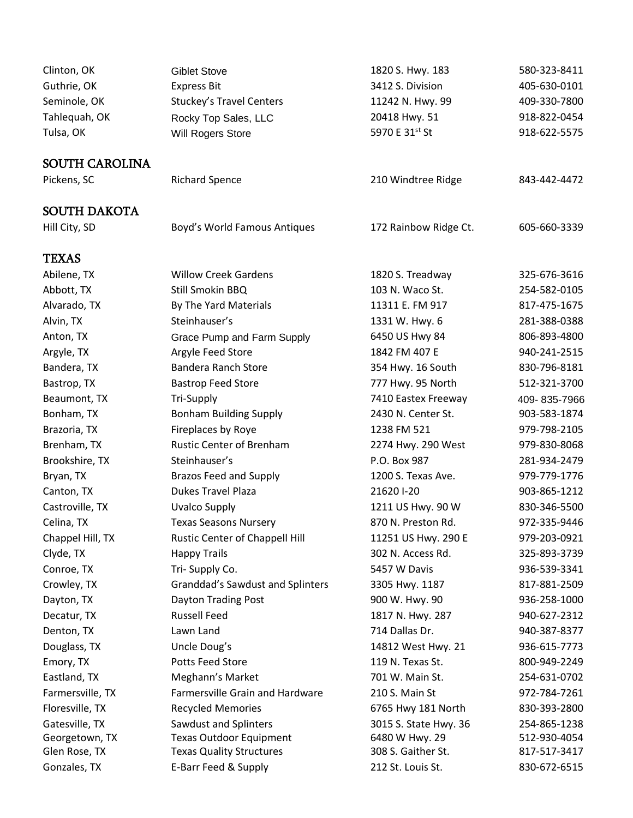| Clinton, OK           | <b>Giblet Stove</b>                     | 1820 S. Hwy. 183      | 580-323-8411                 |
|-----------------------|-----------------------------------------|-----------------------|------------------------------|
| Guthrie, OK           | <b>Express Bit</b>                      | 3412 S. Division      | 405-630-0101                 |
| Seminole, OK          | <b>Stuckey's Travel Centers</b>         | 11242 N. Hwy. 99      | 409-330-7800                 |
| Tahlequah, OK         | Rocky Top Sales, LLC                    | 20418 Hwy. 51         | 918-822-0454                 |
| Tulsa, OK             | Will Rogers Store                       | 5970 E 31st St        | 918-622-5575                 |
|                       |                                         |                       |                              |
| <b>SOUTH CAROLINA</b> |                                         |                       |                              |
| Pickens, SC           | <b>Richard Spence</b>                   | 210 Windtree Ridge    | 843-442-4472                 |
|                       |                                         |                       |                              |
| <b>SOUTH DAKOTA</b>   |                                         |                       |                              |
| Hill City, SD         | Boyd's World Famous Antiques            | 172 Rainbow Ridge Ct. | 605-660-3339                 |
| <b>TEXAS</b>          |                                         |                       |                              |
| Abilene, TX           | <b>Willow Creek Gardens</b>             | 1820 S. Treadway      | 325-676-3616                 |
| Abbott, TX            | Still Smokin BBQ                        | 103 N. Waco St.       | 254-582-0105                 |
| Alvarado, TX          | By The Yard Materials                   | 11311 E. FM 917       | 817-475-1675                 |
| Alvin, TX             | Steinhauser's                           | 1331 W. Hwy. 6        | 281-388-0388                 |
| Anton, TX             | Grace Pump and Farm Supply              | 6450 US Hwy 84        | 806-893-4800                 |
| Argyle, TX            | Argyle Feed Store                       | 1842 FM 407 E         | 940-241-2515                 |
| Bandera, TX           | <b>Bandera Ranch Store</b>              | 354 Hwy. 16 South     | 830-796-8181                 |
| Bastrop, TX           | <b>Bastrop Feed Store</b>               | 777 Hwy. 95 North     | 512-321-3700                 |
| Beaumont, TX          | <b>Tri-Supply</b>                       | 7410 Eastex Freeway   |                              |
|                       | <b>Bonham Building Supply</b>           | 2430 N. Center St.    | 409-835-7966<br>903-583-1874 |
| Bonham, TX            |                                         |                       |                              |
| Brazoria, TX          | Fireplaces by Roye                      | 1238 FM 521           | 979-798-2105                 |
| Brenham, TX           | <b>Rustic Center of Brenham</b>         | 2274 Hwy. 290 West    | 979-830-8068                 |
| Brookshire, TX        | Steinhauser's                           | P.O. Box 987          | 281-934-2479                 |
| Bryan, TX             | <b>Brazos Feed and Supply</b>           | 1200 S. Texas Ave.    | 979-779-1776                 |
| Canton, TX            | <b>Dukes Travel Plaza</b>               | 21620 I-20            | 903-865-1212                 |
| Castroville, TX       | <b>Uvalco Supply</b>                    | 1211 US Hwy. 90 W     | 830-346-5500                 |
| Celina, TX            | <b>Texas Seasons Nursery</b>            | 870 N. Preston Rd.    | 972-335-9446                 |
| Chappel Hill, TX      | Rustic Center of Chappell Hill          | 11251 US Hwy. 290 E   | 979-203-0921                 |
| Clyde, TX             | <b>Happy Trails</b>                     | 302 N. Access Rd.     | 325-893-3739                 |
| Conroe, TX            | Tri-Supply Co.                          | 5457 W Davis          | 936-539-3341                 |
| Crowley, TX           | <b>Granddad's Sawdust and Splinters</b> | 3305 Hwy. 1187        | 817-881-2509                 |
| Dayton, TX            | Dayton Trading Post                     | 900 W. Hwy. 90        | 936-258-1000                 |
| Decatur, TX           | <b>Russell Feed</b>                     | 1817 N. Hwy. 287      | 940-627-2312                 |
| Denton, TX            | Lawn Land                               | 714 Dallas Dr.        | 940-387-8377                 |
| Douglass, TX          | Uncle Doug's                            | 14812 West Hwy. 21    | 936-615-7773                 |
| Emory, TX             | Potts Feed Store                        | 119 N. Texas St.      | 800-949-2249                 |
| Eastland, TX          | Meghann's Market                        | 701 W. Main St.       | 254-631-0702                 |
| Farmersville, TX      | Farmersville Grain and Hardware         | 210 S. Main St        | 972-784-7261                 |
| Floresville, TX       | <b>Recycled Memories</b>                | 6765 Hwy 181 North    | 830-393-2800                 |
| Gatesville, TX        | Sawdust and Splinters                   | 3015 S. State Hwy. 36 | 254-865-1238                 |
| Georgetown, TX        | <b>Texas Outdoor Equipment</b>          | 6480 W Hwy. 29        | 512-930-4054                 |
| Glen Rose, TX         | <b>Texas Quality Structures</b>         | 308 S. Gaither St.    | 817-517-3417                 |
| Gonzales, TX          | E-Barr Feed & Supply                    | 212 St. Louis St.     | 830-672-6515                 |
|                       |                                         |                       |                              |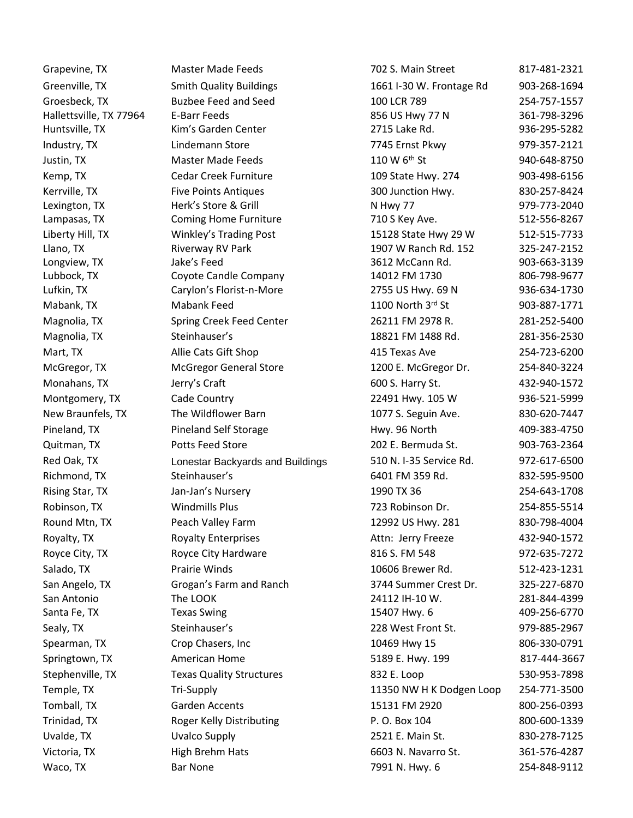Hallettsville, TX 77964 Huntsville, TX Lexington, TX Lampasas, TX Llano, TX Longview, TX Lubbock, TX Lufkin, TX San Antonio Santa Fe, TX

E-Barr Feeds Kim's Garden Center Herk's Store & Grill Coming Home Furniture Riverway RV Park Jake's Feed Coyote Candle Company Carylon's Florist-n-More The LOOK Texas Swing

Grapevine, TX Master Made Feeds 702 S. Main Street 817-481-2321 Greenville, TX **Smith Quality Buildings** 1661 I-30 W. Frontage Rd 903-268-1694 Groesbeck, TX Buzbee Feed and Seed 100 LCR 789 254-757-1557 856 US Hwy 77 N 2715 Lake Rd. 361-798-3296 936-295-5282 Industry, TX Lindemann Store 7745 Ernst Pkwy 979-357-2121 Justin, TX **Master Made Feeds** 110 W 6<sup>th</sup> St 940-648-8750 Kemp, TX Cedar Creek Furniture 109 State Hwy. 274 903-498-6156 Kerrville, TX Five Points Antiques 61 and 500 Junction Hwy. 630-257-8424 N Hwy 77 710 S Key Ave. 979-773-2040 512-556-8267 Liberty Hill, TX Winkley's Trading Post 15128 State Hwy 29 W 512-515-7733 1907 W Ranch Rd. 152 3612 McCann Rd. 325-247-2152 903-663-3139 14012 FM 1730 2755 US Hwy. 69 N 806-798-9677 936-634-1730 Mabank, TX **Mabank Feed** 1100 North 3rd St 903-887-1771 Magnolia, TX Spring Creek Feed Center 26211 FM 2978 R. 281-252-5400 Magnolia, TX Steinhauser's 18821 FM 1488 Rd. 281-356-2530 Mart, TX Allie Cats Gift Shop 415 Texas Ave 254-723-6200 McGregor, TX **McGregor General Store 1200 E. McGregor Dr.** 254-840-3224 Monahans, TX **Mullet Glue Carry's Craft** 600 S. Harry St. 432-940-1572 Montgomery, TX Cade Country Carries and Montgomery, TX Cade Country Country 22491 Hwy. 105 W 936-521-5999 New Braunfels, TX The Wildflower Barn 1077 S. Seguin Ave. 830-620-7447 Pineland, TX **Pineland Self Storage Hwy. 96 North** 409-383-4750 Quitman, TX Potts Feed Store 202 E. Bermuda St. 903-763-2364 Red Oak, TX **Lonestar Backyards and Buildings** 510 N. I-35 Service Rd. 972-617-6500 Richmond, TX 6401 FM 359 Rd. 832-595-9500 Steinhauser's 6401 FM 359 Rd. 832-595-9500 Rising Star, TX **Fig. 254-643-1708** an-Jan's Nursery 1990 TX 36 254-643-1708 Robinson, TX **Mindmills Plus** Windmills Plus 723 Robinson Dr. 254-855-5514 Round Mtn, TX **Peach Valley Farm** 12992 US Hwy. 281 830-798-4004 Royalty, TX **Royalty Enterprises** Attn: Jerry Freeze 432-940-1572 Royce City, TX **Royce City Hardware** 816 S. FM 548 972-635-7272 Salado, TX **Prairie Winds** 10606 Brewer Rd. 512-423-1231 San Angelo, TX Grogan's Farm and Ranch 3744 Summer Crest Dr. 325-227-6870 24112 IH-10 W. 15407 Hwy. 6 281-844-4399 409-256-6770 Sealy, TX 6. Steinhauser's 1999-885-2967 Steinhauser's 1999-885-2967 Spearman, TX Crop Chasers, Inc 10469 Hwy 15 806-330-0791 Springtown, TX **American Home 5189 E. Hwy. 199** 817-444-3667 Stephenville, TX Texas Quality Structures 632 E. Loop 530-953-7898 Temple, TX **Tri-Supply 11350 NW H K Dodgen Loop** 254-771-3500 Tomball, TX 6arden Accents 15131 FM 2920 800-256-0393 Trinidad, TX **Roger Kelly Distributing F. O. Box 104** 800-600-1339 800-600-1339 Uvalde, TX Uvalco Supply 2521 E. Main St. 830-278-7125 Victoria, TX High Brehm Hats 6603 N. Navarro St. 361-576-4287 Waco, TX Bar None 254-848-9112